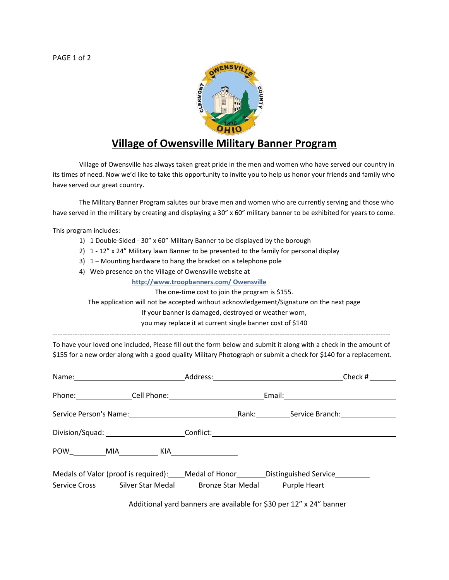PAGE 1 of 2



## **Village of Owensville Military Banner Program**

Village of Owensville has always taken great pride in the men and women who have served our country in its times of need. Now we'd like to take this opportunity to invite you to help us honor your friends and family who have served our great country.

The Military Banner Program salutes our brave men and women who are currently serving and those who have served in the military by creating and displaying a 30" x 60" military banner to be exhibited for years to come.

This program includes:

- 1) 1 Double-Sided 30" x 60" Military Banner to be displayed by the borough
- 2) 1 12" x 24" Military lawn Banner to be presented to the family for personal display
- 3) 1 Mounting hardware to hang the bracket on a telephone pole
- 4) Web presence on the Village of Owensville website at

**http://www.troopbanners.com/ Owensville**

The one-time cost to join the program is \$155.

The application will not be accepted without acknowledgement/Signature on the next page

If your banner is damaged, destroyed or weather worn,

you may replace it at current single banner cost of \$140

-----------------------------------------------------------------------------------------------------------------------------------------

To have your loved one included, Please fill out the form below and submit it along with a check in the amount of \$155 for a new order along with a good quality Military Photograph or submit a check for \$140 for a replacement.

|                                                                                                                                                     | Check # |
|-----------------------------------------------------------------------------------------------------------------------------------------------------|---------|
|                                                                                                                                                     |         |
|                                                                                                                                                     |         |
| Division/Squad: __________________________Conflict: ____________________________                                                                    |         |
|                                                                                                                                                     |         |
| Medals of Valor (proof is required): Medal of Honor _______ Distinguished Service<br>Service Cross Silver Star Medal Bronze Star Medal Purple Heart |         |

Additional yard banners are available for \$30 per 12" x 24" banner